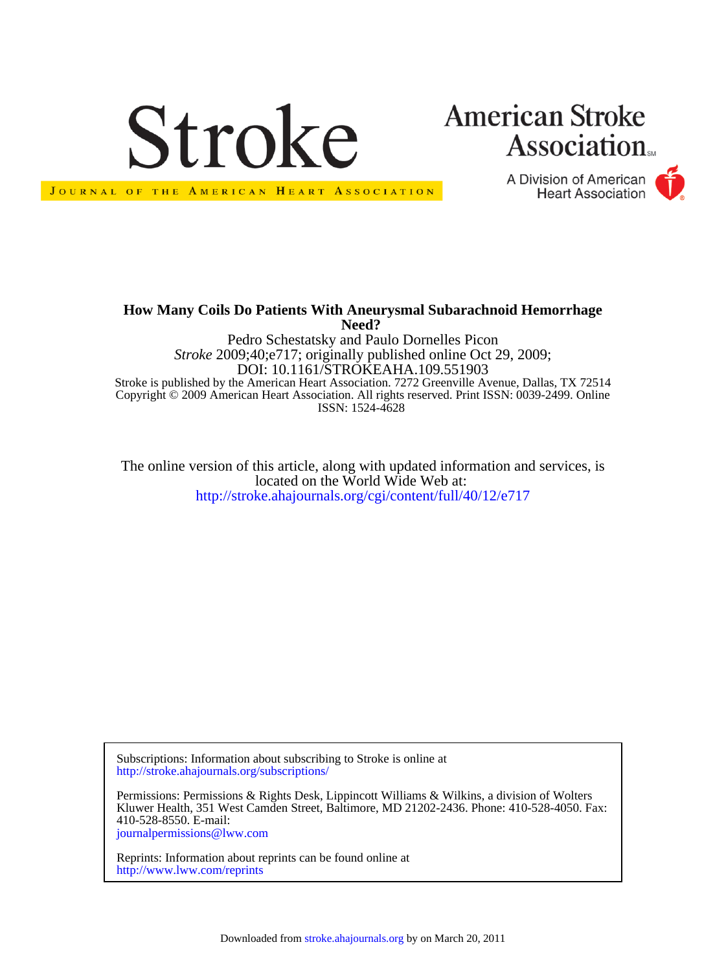

## **American Stroke Association**

A Division of American **Heart Association** 



**Need? How Many Coils Do Patients With Aneurysmal Subarachnoid Hemorrhage**

ISSN: 1524-4628 Copyright © 2009 American Heart Association. All rights reserved. Print ISSN: 0039-2499. Online Stroke is published by the American Heart Association. 7272 Greenville Avenue, Dallas, TX 72514 DOI: 10.1161/STROKEAHA.109.551903 *Stroke* 2009;40;e717; originally published online Oct 29, 2009; Pedro Schestatsky and Paulo Dornelles Picon

<http://stroke.ahajournals.org/cgi/content/full/40/12/e717> located on the World Wide Web at: The online version of this article, along with updated information and services, is

<http://stroke.ahajournals.org/subscriptions/> Subscriptions: Information about subscribing to Stroke is online at

[journalpermissions@lww.com](mailto:journalpermissions@lww.com) 410-528-8550. E-mail: Kluwer Health, 351 West Camden Street, Baltimore, MD 21202-2436. Phone: 410-528-4050. Fax: Permissions: Permissions & Rights Desk, Lippincott Williams & Wilkins, a division of Wolters

<http://www.lww.com/reprints> Reprints: Information about reprints can be found online at